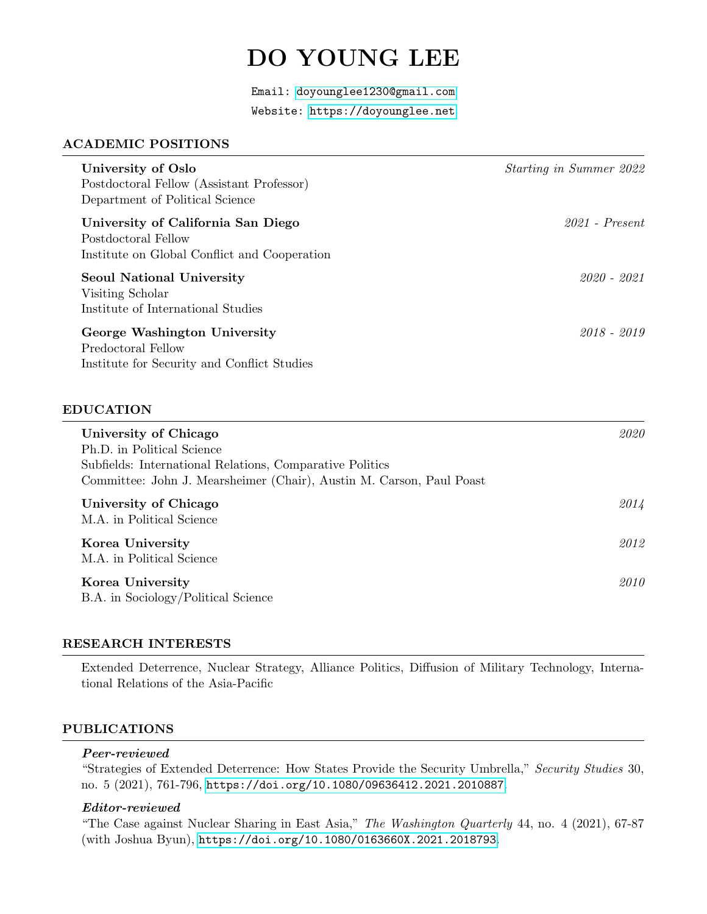# DO YOUNG LEE

Email: [doyounglee1230@gmail.com](mailto:doyounglee1230@gmail.com) Website:<https://doyounglee.net>

## ACADEMIC POSITIONS

| University of Oslo<br>Postdoctoral Fellow (Assistant Professor)<br>Department of Political Science        | <i>Starting in Summer 2022</i> |
|-----------------------------------------------------------------------------------------------------------|--------------------------------|
| University of California San Diego<br>Postdoctoral Fellow<br>Institute on Global Conflict and Cooperation | $2021$ - Present               |
| <b>Seoul National University</b><br>Visiting Scholar<br>Institute of International Studies                | 2020 - 2021                    |
| George Washington University<br>Predoctoral Fellow<br>Institute for Security and Conflict Studies         | $2018 - 2019$                  |
| <b>EDUCATION</b>                                                                                          |                                |
| University of Chicago<br>Ph.D. in Political Science                                                       | 2020                           |

| Subfields: International Relations, Comparative Politics<br>Committee: John J. Mearsheimer (Chair), Austin M. Carson, Paul Poast |      |
|----------------------------------------------------------------------------------------------------------------------------------|------|
| University of Chicago<br>M.A. in Political Science                                                                               | 2014 |
| Korea University<br>M.A. in Political Science                                                                                    | 2012 |
| Korea University<br>B.A. in Sociology/Political Science                                                                          | 2010 |

## RESEARCH INTERESTS

Extended Deterrence, Nuclear Strategy, Alliance Politics, Diffusion of Military Technology, International Relations of the Asia-Pacific

# PUBLICATIONS

#### Peer-reviewed

"Strategies of Extended Deterrence: How States Provide the Security Umbrella," Security Studies 30, no. 5 (2021), 761-796, <https://doi.org/10.1080/09636412.2021.2010887>.

## Editor-reviewed

"The Case against Nuclear Sharing in East Asia," The Washington Quarterly 44, no. 4 (2021), 67-87 (with Joshua Byun), <https://doi.org/10.1080/0163660X.2021.2018793>.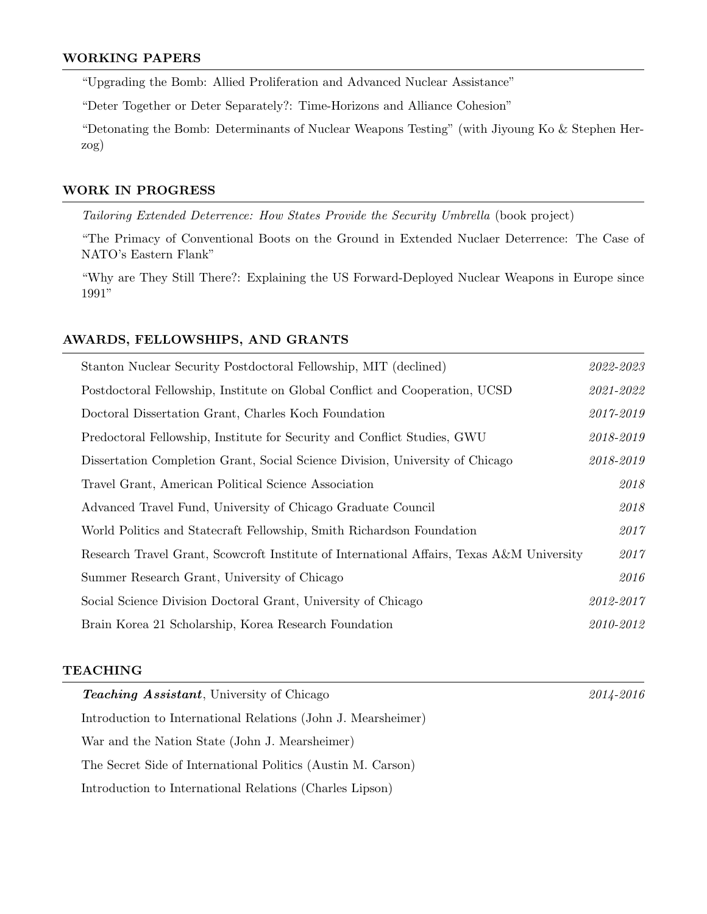# WORKING PAPERS

"Upgrading the Bomb: Allied Proliferation and Advanced Nuclear Assistance"

"Deter Together or Deter Separately?: Time-Horizons and Alliance Cohesion"

"Detonating the Bomb: Determinants of Nuclear Weapons Testing" (with Jiyoung Ko & Stephen Herzog)

# WORK IN PROGRESS

Tailoring Extended Deterrence: How States Provide the Security Umbrella (book project)

"The Primacy of Conventional Boots on the Ground in Extended Nuclaer Deterrence: The Case of NATO's Eastern Flank"

"Why are They Still There?: Explaining the US Forward-Deployed Nuclear Weapons in Europe since 1991"

## AWARDS, FELLOWSHIPS, AND GRANTS

| Stanton Nuclear Security Postdoctoral Fellowship, MIT (declined)                          | 2022-2023     |
|-------------------------------------------------------------------------------------------|---------------|
| Postdoctoral Fellowship, Institute on Global Conflict and Cooperation, UCSD               | $2021 - 2022$ |
| Doctoral Dissertation Grant, Charles Koch Foundation                                      | 2017-2019     |
| Predoctoral Fellowship, Institute for Security and Conflict Studies, GWU                  | 2018-2019     |
| Dissertation Completion Grant, Social Science Division, University of Chicago             | 2018-2019     |
| Travel Grant, American Political Science Association                                      | 2018          |
| Advanced Travel Fund, University of Chicago Graduate Council                              | 2018          |
| World Politics and Statecraft Fellowship, Smith Richardson Foundation                     | 2017          |
| Research Travel Grant, Scowcroft Institute of International Affairs, Texas A&M University | 2017          |
| Summer Research Grant, University of Chicago                                              | 2016          |
| Social Science Division Doctoral Grant, University of Chicago                             | 2012-2017     |
| Brain Korea 21 Scholarship, Korea Research Foundation                                     | 2010-2012     |

#### TEACHING

| <b>Teaching Assistant</b> , University of Chicago             | 2014-2016 |
|---------------------------------------------------------------|-----------|
| Introduction to International Relations (John J. Mearsheimer) |           |
| War and the Nation State (John J. Mearsheimer)                |           |
| The Secret Side of International Politics (Austin M. Carson)  |           |
| Introduction to International Relations (Charles Lipson)      |           |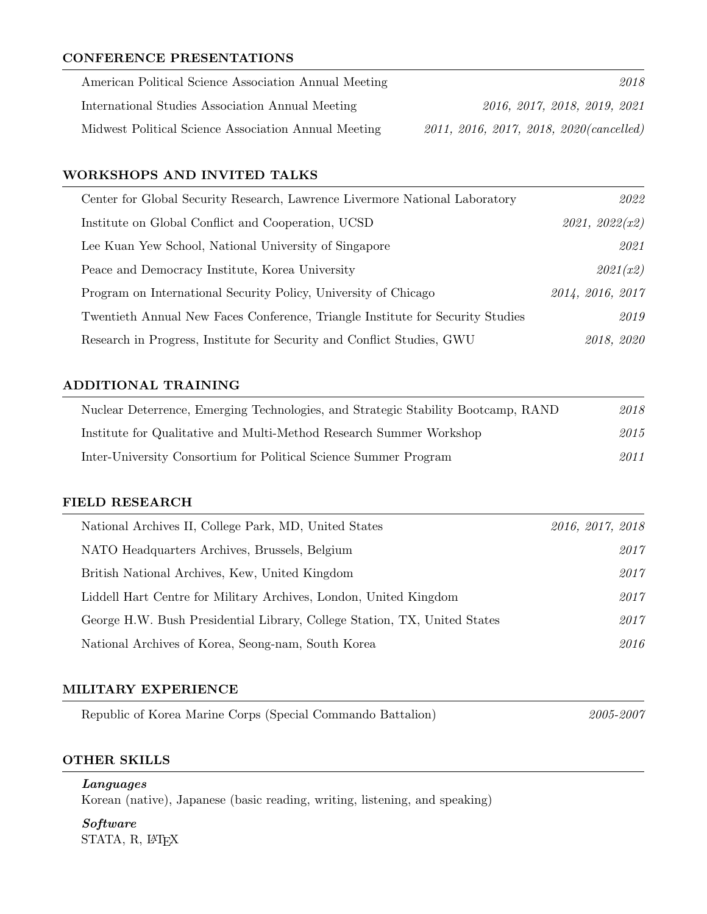# CONFERENCE PRESENTATIONS

| American Political Science Association Annual Meeting | 2018                                       |
|-------------------------------------------------------|--------------------------------------------|
| International Studies Association Annual Meeting      | 2016, 2017, 2018, 2019, 2021               |
| Midwest Political Science Association Annual Meeting  | $2011, 2016, 2017, 2018, 2020 (cancelled)$ |

# WORKSHOPS AND INVITED TALKS

| Center for Global Security Research, Lawrence Livermore National Laboratory    | 2022             |
|--------------------------------------------------------------------------------|------------------|
| Institute on Global Conflict and Cooperation, UCSD                             | 2021, 2022(x2)   |
| Lee Kuan Yew School, National University of Singapore                          | 2021             |
| Peace and Democracy Institute, Korea University                                | 2021(x2)         |
| Program on International Security Policy, University of Chicago                | 2014, 2016, 2017 |
| Twentieth Annual New Faces Conference, Triangle Institute for Security Studies | 2019             |
| Research in Progress, Institute for Security and Conflict Studies, GWU         | 2018, 2020       |

## ADDITIONAL TRAINING

| Nuclear Deterrence, Emerging Technologies, and Strategic Stability Bootcamp, RAND | 2018 |
|-----------------------------------------------------------------------------------|------|
| Institute for Qualitative and Multi-Method Research Summer Workshop               | 2015 |
| Inter-University Consortium for Political Science Summer Program                  | 2011 |

## FIELD RESEARCH

| National Archives II, College Park, MD, United States                     | 2016, 2017, 2018 |
|---------------------------------------------------------------------------|------------------|
| NATO Headquarters Archives, Brussels, Belgium                             | 2017             |
| British National Archives, Kew, United Kingdom                            | 2017             |
| Liddell Hart Centre for Military Archives, London, United Kingdom         | 2017             |
| George H.W. Bush Presidential Library, College Station, TX, United States | 2017             |
| National Archives of Korea, Seong-nam, South Korea                        | 2016             |

## MILITARY EXPERIENCE

| Republic of Korea Marine Corps (Special Commando Battalion) |  | 2005-2007 |
|-------------------------------------------------------------|--|-----------|
|-------------------------------------------------------------|--|-----------|

#### OTHER SKILLS

Languages Korean (native), Japanese (basic reading, writing, listening, and speaking)

Software STATA, R, LATEX